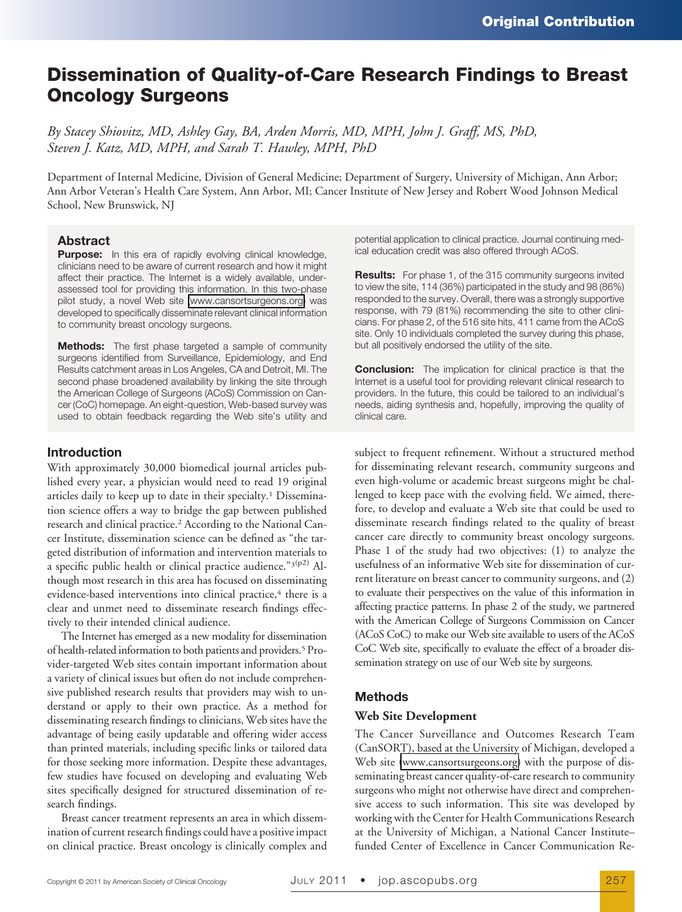# **Dissemination of Quality-of-Care Research Findings to Breast Oncology Surgeons**

*By Stacey Shiovitz, MD, Ashley Gay, BA, Arden Morris, MD, MPH, John J. Graff, MS, PhD, Steven J. Katz, MD, MPH, and Sarah T. Hawley, MPH, PhD*

Department of Internal Medicine, Division of General Medicine; Department of Surgery, University of Michigan, Ann Arbor; Ann Arbor Veteran's Health Care System, Ann Arbor, MI; Cancer Institute of New Jersey and Robert Wood Johnson Medical School, New Brunswick, NJ

# **Abstract**

**Purpose:** In this era of rapidly evolving clinical knowledge, clinicians need to be aware of current research and how it might affect their practice. The Internet is a widely available, underassessed tool for providing this information. In this two-phase pilot study, a novel Web site [\(www.cansortsurgeons.org\)](http://www.cansortsurgeons.org) was developed to specifically disseminate relevant clinical information to community breast oncology surgeons.

**Methods:** The first phase targeted a sample of community surgeons identified from Surveillance, Epidemiology, and End Results catchment areas in Los Angeles, CA and Detroit, MI. The second phase broadened availability by linking the site through the American College of Surgeons (ACoS) Commission on Cancer (CoC) homepage. An eight-question, Web-based survey was used to obtain feedback regarding the Web site's utility and

# **Introduction**

With approximately 30,000 biomedical journal articles published every year, a physician would need to read 19 original articles daily to keep up to date in their specialty.1 Dissemination science offers a way to bridge the gap between published research and clinical practice.<sup>2</sup> According to the National Cancer Institute, dissemination science can be defined as "the targeted distribution of information and intervention materials to a specific public health or clinical practice audience." $3(p^2)$  Although most research in this area has focused on disseminating evidence-based interventions into clinical practice,<sup>4</sup> there is a clear and unmet need to disseminate research findings effectively to their intended clinical audience.

The Internet has emerged as a new modality for dissemination of health-related information to both patients and providers.5 Provider-targeted Web sites contain important information about a variety of clinical issues but often do not include comprehensive published research results that providers may wish to understand or apply to their own practice. As a method for disseminating research findings to clinicians, Web sites have the advantage of being easily updatable and offering wider access than printed materials, including specific links or tailored data for those seeking more information. Despite these advantages, few studies have focused on developing and evaluating Web sites specifically designed for structured dissemination of research findings.

Breast cancer treatment represents an area in which dissemination of current research findings could have a positive impact on clinical practice. Breast oncology is clinically complex and

potential application to clinical practice. Journal continuing medical education credit was also offered through ACoS.

**Results:** For phase 1, of the 315 community surgeons invited to view the site, 114 (36%) participated in the study and 98 (86%) responded to the survey. Overall, there was a strongly supportive response, with 79 (81%) recommending the site to other clinicians. For phase 2, of the 516 site hits, 411 came from the ACoS site. Only 10 individuals completed the survey during this phase, but all positively endorsed the utility of the site.

**Conclusion:** The implication for clinical practice is that the Internet is a useful tool for providing relevant clinical research to providers. In the future, this could be tailored to an individual's needs, aiding synthesis and, hopefully, improving the quality of clinical care.

subject to frequent refinement. Without a structured method for disseminating relevant research, community surgeons and even high-volume or academic breast surgeons might be challenged to keep pace with the evolving field. We aimed, therefore, to develop and evaluate a Web site that could be used to disseminate research findings related to the quality of breast cancer care directly to community breast oncology surgeons. Phase 1 of the study had two objectives: (1) to analyze the usefulness of an informative Web site for dissemination of current literature on breast cancer to community surgeons, and (2) to evaluate their perspectives on the value of this information in affecting practice patterns. In phase 2 of the study, we partnered with the American College of Surgeons Commission on Cancer (ACoS CoC) to make our Web site available to users of the ACoS CoC Web site, specifically to evaluate the effect of a broader dissemination strategy on use of our Web site by surgeons.

# **Methods**

## **Web Site Development**

The Cancer Surveillance and Outcomes Research Team (CanSORT), based at the University of Michigan, developed a Web site [\(www.cansortsurgeons.org\)](http://www.cansortsurgeons.org) with the purpose of disseminating breast cancer quality-of-care research to community surgeons who might not otherwise have direct and comprehensive access to such information. This site was developed by working with the Center for Health Communications Research at the University of Michigan, a National Cancer Institute– funded Center of Excellence in Cancer Communication Re-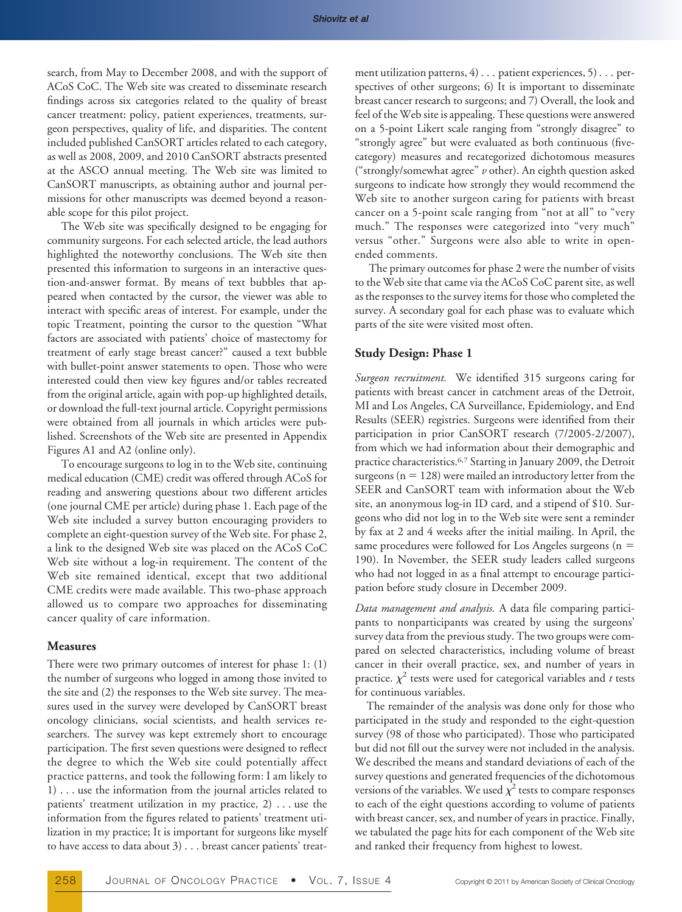search, from May to December 2008, and with the support of ACoS CoC. The Web site was created to disseminate research findings across six categories related to the quality of breast cancer treatment: policy, patient experiences, treatments, surgeon perspectives, quality of life, and disparities. The content included published CanSORT articles related to each category, as well as 2008, 2009, and 2010 CanSORT abstracts presented at the ASCO annual meeting. The Web site was limited to CanSORT manuscripts, as obtaining author and journal permissions for other manuscripts was deemed beyond a reasonable scope for this pilot project.

The Web site was specifically designed to be engaging for community surgeons. For each selected article, the lead authors highlighted the noteworthy conclusions. The Web site then presented this information to surgeons in an interactive question-and-answer format. By means of text bubbles that appeared when contacted by the cursor, the viewer was able to interact with specific areas of interest. For example, under the topic Treatment, pointing the cursor to the question "What factors are associated with patients' choice of mastectomy for treatment of early stage breast cancer?" caused a text bubble with bullet-point answer statements to open. Those who were interested could then view key figures and/or tables recreated from the original article, again with pop-up highlighted details, or download the full-text journal article. Copyright permissions were obtained from all journals in which articles were published. Screenshots of the Web site are presented in Appendix Figures A1 and A2 (online only).

To encourage surgeons to log in to the Web site, continuing medical education (CME) credit was offered through ACoS for reading and answering questions about two different articles (one journal CME per article) during phase 1. Each page of the Web site included a survey button encouraging providers to complete an eight-question survey of the Web site. For phase 2, a link to the designed Web site was placed on the ACoS CoC Web site without a log-in requirement. The content of the Web site remained identical, except that two additional CME credits were made available. This two-phase approach allowed us to compare two approaches for disseminating cancer quality of care information.

## **Measures**

There were two primary outcomes of interest for phase 1: (1) the number of surgeons who logged in among those invited to the site and (2) the responses to the Web site survey. The measures used in the survey were developed by CanSORT breast oncology clinicians, social scientists, and health services researchers. The survey was kept extremely short to encourage participation. The first seven questions were designed to reflect the degree to which the Web site could potentially affect practice patterns, and took the following form: I am likely to 1) . . . use the information from the journal articles related to patients' treatment utilization in my practice, 2) . . . use the information from the figures related to patients' treatment utilization in my practice; It is important for surgeons like myself to have access to data about 3) . . . breast cancer patients' treatment utilization patterns, 4) . . . patient experiences, 5) . . . perspectives of other surgeons; 6) It is important to disseminate breast cancer research to surgeons; and 7) Overall, the look and feel of the Web site is appealing. These questions were answered on a 5-point Likert scale ranging from "strongly disagree" to "strongly agree" but were evaluated as both continuous (fivecategory) measures and recategorized dichotomous measures ("strongly/somewhat agree" *v* other). An eighth question asked surgeons to indicate how strongly they would recommend the Web site to another surgeon caring for patients with breast cancer on a 5-point scale ranging from "not at all" to "very much." The responses were categorized into "very much" versus "other." Surgeons were also able to write in openended comments.

The primary outcomes for phase 2 were the number of visits to the Web site that came via the ACoS CoC parent site, as well as the responses to the survey items for those who completed the survey. A secondary goal for each phase was to evaluate which parts of the site were visited most often.

## **Study Design: Phase 1**

*Surgeon recruitment.* We identified 315 surgeons caring for patients with breast cancer in catchment areas of the Detroit, MI and Los Angeles, CA Surveillance, Epidemiology, and End Results (SEER) registries. Surgeons were identified from their participation in prior CanSORT research (7/2005-2/2007), from which we had information about their demographic and practice characteristics.6,7 Starting in January 2009, the Detroit surgeons ( $n = 128$ ) were mailed an introductory letter from the SEER and CanSORT team with information about the Web site, an anonymous log-in ID card, and a stipend of \$10. Surgeons who did not log in to the Web site were sent a reminder by fax at 2 and 4 weeks after the initial mailing. In April, the same procedures were followed for Los Angeles surgeons (n 190). In November, the SEER study leaders called surgeons who had not logged in as a final attempt to encourage participation before study closure in December 2009.

*Data management and analysis.* A data file comparing participants to nonparticipants was created by using the surgeons' survey data from the previous study. The two groups were compared on selected characteristics, including volume of breast cancer in their overall practice, sex, and number of years in practice.  $\chi^2$  tests were used for categorical variables and *t* tests for continuous variables.

The remainder of the analysis was done only for those who participated in the study and responded to the eight-question survey (98 of those who participated). Those who participated but did not fill out the survey were not included in the analysis. We described the means and standard deviations of each of the survey questions and generated frequencies of the dichotomous versions of the variables. We used  $\chi^2$  tests to compare responses to each of the eight questions according to volume of patients with breast cancer, sex, and number of years in practice. Finally, we tabulated the page hits for each component of the Web site and ranked their frequency from highest to lowest.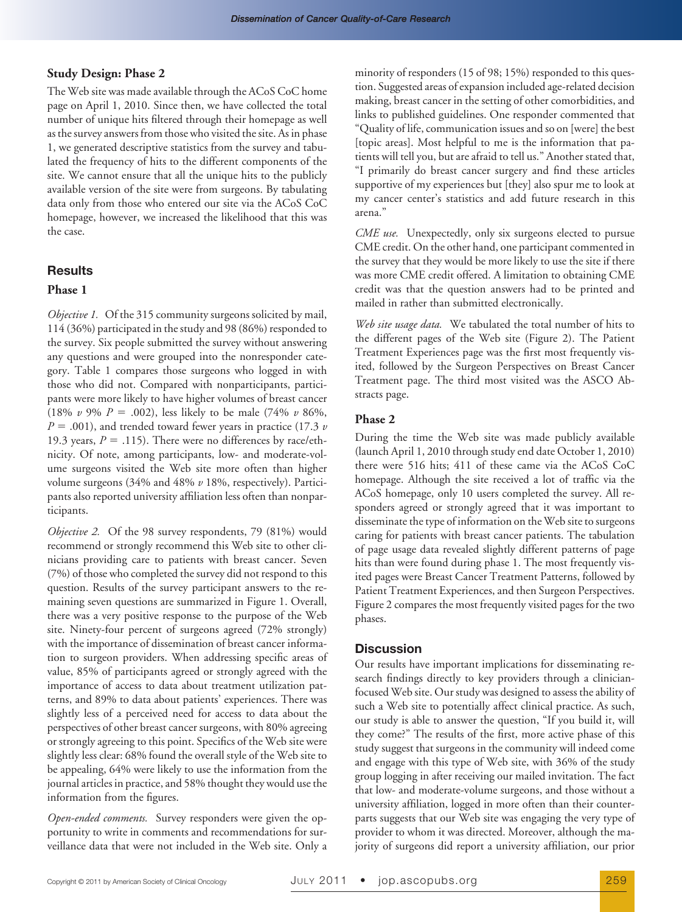## **Study Design: Phase 2**

The Web site was made available through the ACoS CoC home page on April 1, 2010. Since then, we have collected the total number of unique hits filtered through their homepage as well as the survey answers from those who visited the site. As in phase 1, we generated descriptive statistics from the survey and tabulated the frequency of hits to the different components of the site. We cannot ensure that all the unique hits to the publicly available version of the site were from surgeons. By tabulating data only from those who entered our site via the ACoS CoC homepage, however, we increased the likelihood that this was the case.

# **Results**

#### **Phase 1**

*Objective 1.* Of the 315 community surgeons solicited by mail, 114 (36%) participated in the study and 98 (86%) responded to the survey. Six people submitted the survey without answering any questions and were grouped into the nonresponder category. Table 1 compares those surgeons who logged in with those who did not. Compared with nonparticipants, participants were more likely to have higher volumes of breast cancer (18%  $\nu$  9%  $P = .002$ ), less likely to be male (74%  $\nu$  86%,  $P = .001$ ), and trended toward fewer years in practice (17.3  $\nu$ 19.3 years,  $P = .115$ ). There were no differences by race/ethnicity. Of note, among participants, low- and moderate-volume surgeons visited the Web site more often than higher volume surgeons (34% and 48% *v* 18%, respectively). Participants also reported university affiliation less often than nonparticipants.

*Objective 2.* Of the 98 survey respondents, 79 (81%) would recommend or strongly recommend this Web site to other clinicians providing care to patients with breast cancer. Seven (7%) of those who completed the survey did not respond to this question. Results of the survey participant answers to the remaining seven questions are summarized in Figure 1. Overall, there was a very positive response to the purpose of the Web site. Ninety-four percent of surgeons agreed (72% strongly) with the importance of dissemination of breast cancer information to surgeon providers. When addressing specific areas of value, 85% of participants agreed or strongly agreed with the importance of access to data about treatment utilization patterns, and 89% to data about patients' experiences. There was slightly less of a perceived need for access to data about the perspectives of other breast cancer surgeons, with 80% agreeing or strongly agreeing to this point. Specifics of the Web site were slightly less clear: 68% found the overall style of the Web site to be appealing, 64% were likely to use the information from the journal articles in practice, and 58% thought they would use the information from the figures.

*Open-ended comments.* Survey responders were given the opportunity to write in comments and recommendations for surveillance data that were not included in the Web site. Only a minority of responders (15 of 98; 15%) responded to this question. Suggested areas of expansion included age-related decision making, breast cancer in the setting of other comorbidities, and links to published guidelines. One responder commented that "Quality of life, communication issues and so on [were] the best [topic areas]. Most helpful to me is the information that patients will tell you, but are afraid to tell us." Another stated that, "I primarily do breast cancer surgery and find these articles supportive of my experiences but [they] also spur me to look at my cancer center's statistics and add future research in this arena."

*CME use.* Unexpectedly, only six surgeons elected to pursue CME credit. On the other hand, one participant commented in the survey that they would be more likely to use the site if there was more CME credit offered. A limitation to obtaining CME credit was that the question answers had to be printed and mailed in rather than submitted electronically.

*Web site usage data.* We tabulated the total number of hits to the different pages of the Web site (Figure 2). The Patient Treatment Experiences page was the first most frequently visited, followed by the Surgeon Perspectives on Breast Cancer Treatment page. The third most visited was the ASCO Abstracts page.

#### **Phase 2**

During the time the Web site was made publicly available (launch April 1, 2010 through study end date October 1, 2010) there were 516 hits; 411 of these came via the ACoS CoC homepage. Although the site received a lot of traffic via the ACoS homepage, only 10 users completed the survey. All responders agreed or strongly agreed that it was important to disseminate the type of information on the Web site to surgeons caring for patients with breast cancer patients. The tabulation of page usage data revealed slightly different patterns of page hits than were found during phase 1. The most frequently visited pages were Breast Cancer Treatment Patterns, followed by Patient Treatment Experiences, and then Surgeon Perspectives. Figure 2 compares the most frequently visited pages for the two phases.

# **Discussion**

Our results have important implications for disseminating research findings directly to key providers through a clinicianfocused Web site. Our study was designed to assess the ability of such a Web site to potentially affect clinical practice. As such, our study is able to answer the question, "If you build it, will they come?" The results of the first, more active phase of this study suggest that surgeons in the community will indeed come and engage with this type of Web site, with 36% of the study group logging in after receiving our mailed invitation. The fact that low- and moderate-volume surgeons, and those without a university affiliation, logged in more often than their counterparts suggests that our Web site was engaging the very type of provider to whom it was directed. Moreover, although the majority of surgeons did report a university affiliation, our prior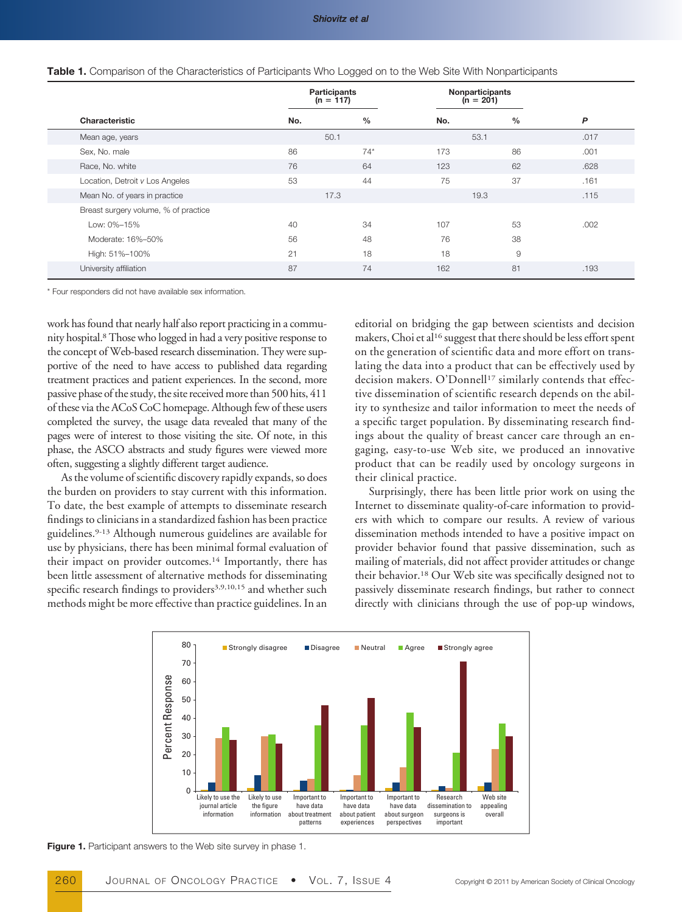|                                      | Participants<br>$(n = 117)$ |               | Nonparticipants<br>$(n = 201)$ |               |      |  |
|--------------------------------------|-----------------------------|---------------|--------------------------------|---------------|------|--|
| Characteristic                       | No.                         | $\frac{0}{0}$ | No.                            | $\frac{0}{0}$ | P    |  |
| Mean age, years                      | 50.1                        |               | 53.1                           |               | .017 |  |
| Sex, No. male                        | 86                          | $74*$         | 173                            | 86            | .001 |  |
| Race, No. white                      | 76                          | 64            | 123                            | 62            | .628 |  |
| Location, Detroit v Los Angeles      | 53                          | 44            | 75                             | 37            | .161 |  |
| Mean No. of years in practice        | 17.3                        |               | 19.3                           |               | .115 |  |
| Breast surgery volume, % of practice |                             |               |                                |               |      |  |
| Low: 0%-15%                          | 40                          | 34            | 107                            | 53            | .002 |  |
| Moderate: 16%-50%                    | 56                          | 48            | 76                             | 38            |      |  |
| High: 51%-100%                       | 21                          | 18            | 18                             | 9             |      |  |
| University affiliation               | 87                          | 74            | 162                            | 81            | .193 |  |

|  |  |  | Table 1. Comparison of the Characteristics of Participants Who Logged on to the Web Site With Nonparticipants |  |
|--|--|--|---------------------------------------------------------------------------------------------------------------|--|
|  |  |  |                                                                                                               |  |

\* Four responders did not have available sex information.

work has found that nearly half also report practicing in a community hospital.8Those who logged in had a very positive response to the concept of Web-based research dissemination. They were supportive of the need to have access to published data regarding treatment practices and patient experiences. In the second, more passive phase of the study, the site received more than 500 hits, 411 of these via the ACoS CoC homepage. Although few of these users completed the survey, the usage data revealed that many of the pages were of interest to those visiting the site. Of note, in this phase, the ASCO abstracts and study figures were viewed more often, suggesting a slightly different target audience.

As the volume of scientific discovery rapidly expands, so does the burden on providers to stay current with this information. To date, the best example of attempts to disseminate research findings to clinicians in a standardized fashion has been practice guidelines.9-13 Although numerous guidelines are available for use by physicians, there has been minimal formal evaluation of their impact on provider outcomes.<sup>14</sup> Importantly, there has been little assessment of alternative methods for disseminating specific research findings to providers<sup>3,9,10,15</sup> and whether such methods might be more effective than practice guidelines. In an

editorial on bridging the gap between scientists and decision makers, Choi et al<sup>16</sup> suggest that there should be less effort spent on the generation of scientific data and more effort on translating the data into a product that can be effectively used by decision makers. O'Donnell<sup>17</sup> similarly contends that effective dissemination of scientific research depends on the ability to synthesize and tailor information to meet the needs of a specific target population. By disseminating research findings about the quality of breast cancer care through an engaging, easy-to-use Web site, we produced an innovative product that can be readily used by oncology surgeons in their clinical practice.

Surprisingly, there has been little prior work on using the Internet to disseminate quality-of-care information to providers with which to compare our results. A review of various dissemination methods intended to have a positive impact on provider behavior found that passive dissemination, such as mailing of materials, did not affect provider attitudes or change their behavior.18 Our Web site was specifically designed not to passively disseminate research findings, but rather to connect directly with clinicians through the use of pop-up windows,



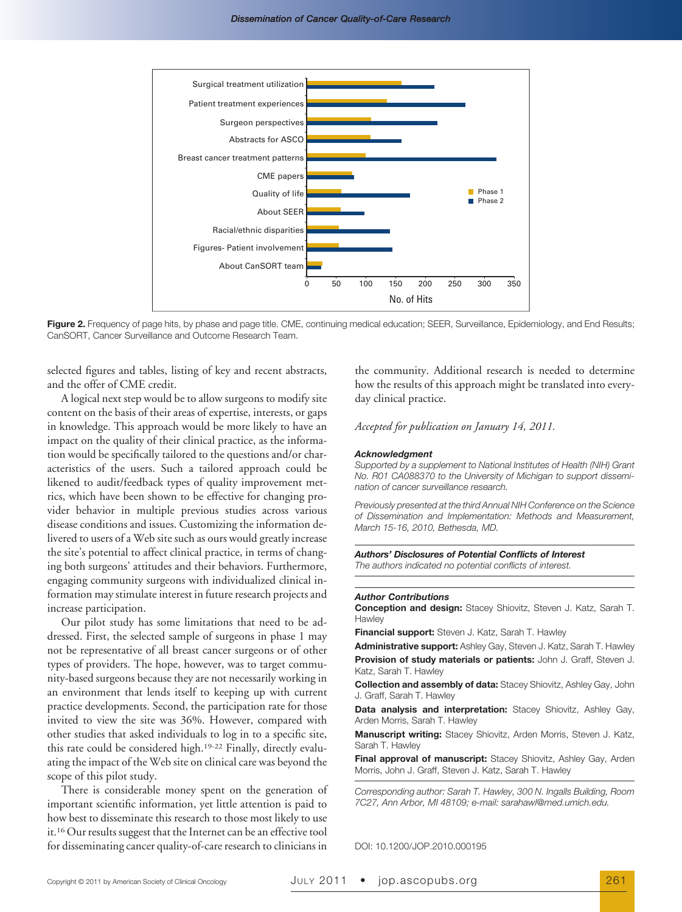

**Figure 2.** Frequency of page hits, by phase and page title. CME, continuing medical education; SEER, Surveillance, Epidemiology, and End Results; CanSORT, Cancer Surveillance and Outcome Research Team.

selected figures and tables, listing of key and recent abstracts, and the offer of CME credit.

A logical next step would be to allow surgeons to modify site content on the basis of their areas of expertise, interests, or gaps in knowledge. This approach would be more likely to have an impact on the quality of their clinical practice, as the information would be specifically tailored to the questions and/or characteristics of the users. Such a tailored approach could be likened to audit/feedback types of quality improvement metrics, which have been shown to be effective for changing provider behavior in multiple previous studies across various disease conditions and issues. Customizing the information delivered to users of a Web site such as ours would greatly increase the site's potential to affect clinical practice, in terms of changing both surgeons' attitudes and their behaviors. Furthermore, engaging community surgeons with individualized clinical information may stimulate interest in future research projects and increase participation.

Our pilot study has some limitations that need to be addressed. First, the selected sample of surgeons in phase 1 may not be representative of all breast cancer surgeons or of other types of providers. The hope, however, was to target community-based surgeons because they are not necessarily working in an environment that lends itself to keeping up with current practice developments. Second, the participation rate for those invited to view the site was 36%. However, compared with other studies that asked individuals to log in to a specific site, this rate could be considered high.19-22 Finally, directly evaluating the impact of the Web site on clinical care was beyond the scope of this pilot study.

There is considerable money spent on the generation of important scientific information, yet little attention is paid to how best to disseminate this research to those most likely to use it.16 Our results suggest that the Internet can be an effective tool for disseminating cancer quality-of-care research to clinicians in

the community. Additional research is needed to determine how the results of this approach might be translated into everyday clinical practice.

*Accepted for publication on January 14, 2011.*

#### *Acknowledgment*

*Supported by a supplement to National Institutes of Health (NIH) Grant No. R01 CA088370 to the University of Michigan to support dissemination of cancer surveillance research.*

*Previously presented at the third Annual NIH Conference on the Science of Dissemination and Implementation: Methods and Measurement, March 15-16, 2010, Bethesda, MD.*

*Authors' Disclosures of Potential Conflicts of Interest The authors indicated no potential conflicts of interest.*

#### *Author Contributions*

**Conception and design:** Stacey Shiovitz, Steven J. Katz, Sarah T. **Hawley** 

**Financial support:** Steven J. Katz, Sarah T. Hawley

**Administrative support:** Ashley Gay, Steven J. Katz, Sarah T. Hawley **Provision of study materials or patients:** John J. Graff, Steven J. Katz, Sarah T. Hawley

**Collection and assembly of data:** Stacey Shiovitz, Ashley Gay, John J. Graff, Sarah T. Hawley

**Data analysis and interpretation:** Stacey Shiovitz, Ashley Gay, Arden Morris, Sarah T. Hawley

**Manuscript writing:** Stacey Shiovitz, Arden Morris, Steven J. Katz, Sarah T. Hawley

**Final approval of manuscript:** Stacey Shiovitz, Ashley Gay, Arden Morris, John J. Graff, Steven J. Katz, Sarah T. Hawley

*Corresponding author: Sarah T. Hawley, 300 N. Ingalls Building, Room 7C27, Ann Arbor, MI 48109; e-mail: sarahawl@med.umich.edu.*

DOI: 10.1200/JOP.2010.000195